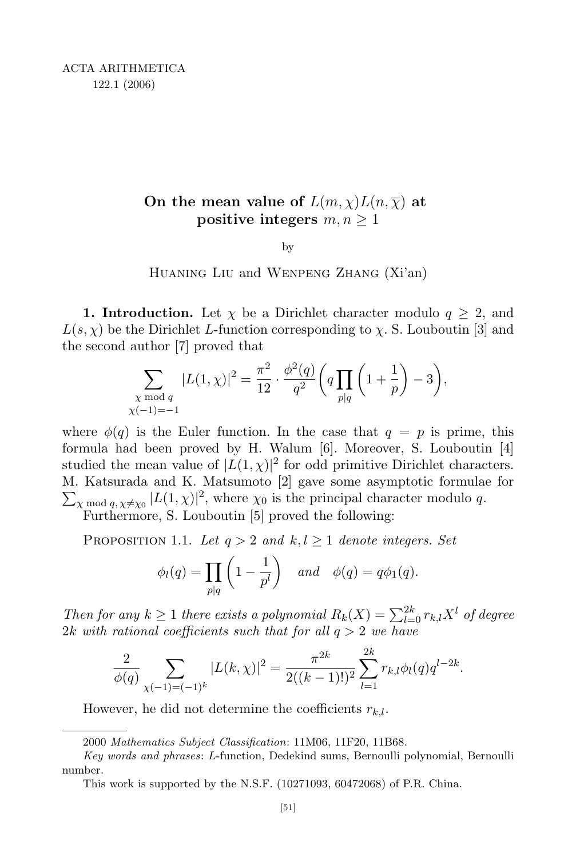## On the mean value of  $L(m, \chi) L(n, \overline{\chi})$  at positive integers  $m, n \geq 1$

by

## Huaning Liu and Wenpeng Zhang (Xi'an)

**1. Introduction.** Let  $\chi$  be a Dirichlet character modulo  $q \geq 2$ , and  $L(s, \chi)$  be the Dirichlet L-function corresponding to  $\chi$ . S. Louboutin [3] and the second author [7] proved that

$$
\sum_{\substack{\chi \bmod q \\ \chi(-1) = -1}} |L(1, \chi)|^2 = \frac{\pi^2}{12} \cdot \frac{\phi^2(q)}{q^2} \left( q \prod_{p \mid q} \left( 1 + \frac{1}{p} \right) - 3 \right),
$$

where  $\phi(q)$  is the Euler function. In the case that  $q = p$  is prime, this formula had been proved by H. Walum [6]. Moreover, S. Louboutin [4] studied the mean value of  $|L(1,\chi)|^2$  for odd primitive Dirichlet characters. M. Katsurada and K. Matsumoto [2] gave some asymptotic formu lae for  $\sum_{\chi \bmod q, \chi \neq \chi_0} |L(1,\chi)|^2$ , where  $\chi_0$  is the principal character modulo q.

Furthermore, S. Louboutin [5] proved the following:

PROPOSITION 1.1. Let  $q > 2$  and  $k, l \ge 1$  denote integers. Set

$$
\phi_l(q) = \prod_{p|q} \left(1 - \frac{1}{p^l}\right) \quad \text{and} \quad \phi(q) = q\phi_1(q).
$$

Then for any  $k \geq 1$  there exists a polynomial  $R_k(X) = \sum_{l=0}^{2k} r_{k,l} X^l$  of degree 2k with rational coefficients such that for all  $q > 2$  we have

$$
\frac{2}{\phi(q)} \sum_{\chi(-1)=(-1)^k} |L(k,\chi)|^2 = \frac{\pi^{2k}}{2((k-1)!)^2} \sum_{l=1}^{2k} r_{k,l} \phi_l(q) q^{l-2k}.
$$

However, he did not determine the coefficients  $r_{k,l}$ .

2000 Mathematics Subject Classification: 11M06, 11F20, 11B68.

This work is supported by the N.S.F. (10271093, 60472068) of P.R. China.

Key words and phrases: L-function, Dedekind sums, Bernoulli polynomial, Bernoulli number.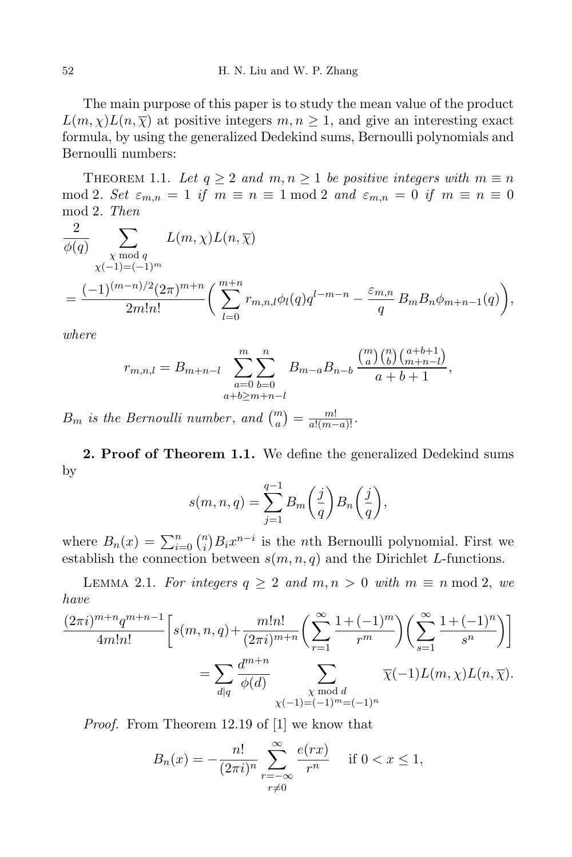The main purpose of this paper is to study the mean value of the product  $L(m, \chi)L(n, \overline{\chi})$  at positive integers  $m, n \geq 1$ , and give an interesting exact formula, by using the generalized Dedekind sums, Bernoulli polynomials and Bernoulli numbers:

THEOREM 1.1. Let  $q \ge 2$  and  $m, n \ge 1$  be positive integers with  $m \equiv n$ mod 2. Set  $\varepsilon_{m,n} = 1$  if  $m \equiv n \equiv 1 \mod 2$  and  $\varepsilon_{m,n} = 0$  if  $m \equiv n \equiv 0$ mod 2. Then

$$
\frac{2}{\phi(q)} \sum_{\substack{\chi \bmod q \\ \chi(-1) = (-1)^m}} L(m, \chi) L(n, \overline{\chi})
$$
\n
$$
= \frac{(-1)^{(m-n)/2} (2\pi)^{m+n}}{2m!n!} \left( \sum_{l=0}^{m+n} r_{m,n,l} \phi_l(q) q^{l-m-n} - \frac{\varepsilon_{m,n}}{q} B_m B_n \phi_{m+n-1}(q) \right),
$$

where

 $\sim$ 

$$
r_{m,n,l} = B_{m+n-l} \sum_{\substack{a=0 \ b=0 \\ a+b \ge m+n-l}}^{m} B_{m-a} B_{n-b} \frac{{m \choose a} {n \choose b} {a+b+1 \choose m+n-l}}{a+b+1},
$$

 $B_m$  is the Bernoulli number, and  $\binom{m}{a} = \frac{m!}{a!(m-a)!}$ .

2. Proof of Theorem 1.1. We define the generalized Dedekind sums by

$$
s(m, n, q) = \sum_{j=1}^{q-1} B_m\left(\frac{j}{q}\right) B_n\left(\frac{j}{q}\right),
$$

where  $B_n(x) = \sum_{i=0}^n {n \choose i}$  $\binom{n}{i} B_i x^{n-i}$  is the *n*th Bernoulli polynomial. First we establish the connection between  $s(m, n, q)$  and the Dirichlet L-functions.

LEMMA 2.1. For integers  $q \ge 2$  and  $m, n > 0$  with  $m \equiv n \mod 2$ , we have

$$
\frac{(2\pi i)^{m+n}q^{m+n-1}}{4m!n!} \left[ s(m,n,q) + \frac{m!n!}{(2\pi i)^{m+n}} \left( \sum_{r=1}^{\infty} \frac{1+(-1)^m}{r^m} \right) \left( \sum_{s=1}^{\infty} \frac{1+(-1)^n}{s^n} \right) \right]
$$

$$
= \sum_{d|q} \frac{d^{m+n}}{\phi(d)} \sum_{\substack{\chi \bmod d \\ \chi(-1) = (-1)^m = (-1)^n}} \overline{\chi}(-1) L(m,\chi) L(n,\overline{\chi}).
$$

Proof. From Theorem 12.19 of [1] we know that

$$
B_n(x) = -\frac{n!}{(2\pi i)^n} \sum_{\substack{r=-\infty\\r\neq 0}}^{\infty} \frac{e(rx)}{r^n} \quad \text{if } 0 < x \le 1,
$$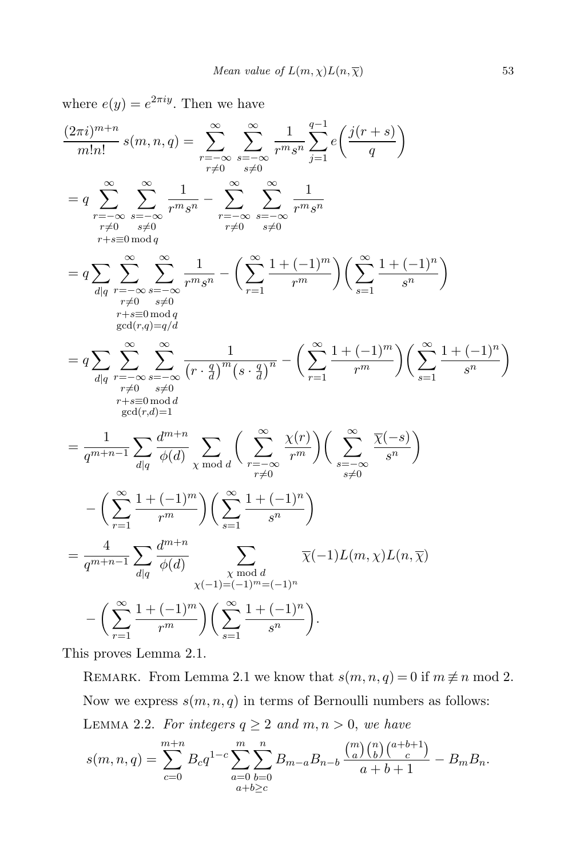where  $e(y) = e^{2\pi iy}$ . Then we have

$$
\frac{(2\pi i)^{m+n}}{m!n!} s(m,n,q) = \sum_{\substack{r=-\infty \ s = -\infty}}^{\infty} \sum_{\substack{s=-\infty \ s \neq 0}}^{\infty} \frac{1}{r^m s^n} \sum_{j=1}^{q-1} e\left(\frac{j(r+s)}{q}\right)
$$
  
\n
$$
= q \sum_{\substack{r=-\infty \ s = -\infty}}^{\infty} \sum_{\substack{s=-\infty \ s \neq 0}}^{\infty} \frac{1}{r^m s^n} - \sum_{\substack{r=-\infty \ s = 0}}^{\infty} \sum_{\substack{s=-\infty \ s \neq 0}}^{\infty} \frac{1}{r^m s^n}
$$
  
\n
$$
= q \sum_{\substack{d|q}}^{\infty} \sum_{\substack{r=-\infty \ s = 0}}^{\infty} \sum_{\substack{s=-\infty \ s \neq 0}}^{\infty} \frac{1}{r^m s^n} - \left(\sum_{r=1}^{\infty} \frac{1+(-1)^m}{r^m}\right) \left(\sum_{s=1}^{\infty} \frac{1+(-1)^n}{s^n}\right)
$$
  
\n
$$
= q \sum_{\substack{d|q}}^{\infty} \sum_{\substack{r=-\infty \ s = -\infty}}^{\infty} \frac{1}{(r \cdot \frac{q}{d})^m (s \cdot \frac{q}{d})^n} - \left(\sum_{r=1}^{\infty} \frac{1+(-1)^m}{r^m}\right) \left(\sum_{s=1}^{\infty} \frac{1+(-1)^n}{s^n}\right)
$$
  
\n
$$
= \frac{1}{q^{m+n-1}} \sum_{\substack{d|q}}^{\infty} \frac{d^{m+n}}{\phi(d)} \sum_{\substack{\chi \bmod d}}^{\infty} \left(\sum_{\substack{r=-\infty \ s = 0}}^{\infty} \frac{\chi(r)}{r^m}\right) \left(\sum_{\substack{s=-\infty \ s \neq 0}}^{\infty} \frac{\overline{\chi}(-s)}{s^n}\right)
$$
  
\n
$$
- \left(\sum_{r=1}^{\infty} \frac{1+(-1)^m}{r^m}\right) \left(\sum_{s=1}^{\infty} \frac{1+(-1)^n}{s^n}\right)
$$

This proves Lemma 2.1.

REMARK. From Lemma 2.1 we know that  $s(m, n, q) = 0$  if  $m \neq n \mod 2$ . Now we express  $s(m, n, q)$  in terms of Bernoulli numbers as follows: LEMMA 2.2. For integers  $q \ge 2$  and  $m, n > 0$ , we have

$$
s(m, n, q) = \sum_{c=0}^{m+n} B_c q^{1-c} \sum_{\substack{a=0 \ b=0}}^{m} \sum_{b=0}^{n} B_{m-a} B_{n-b} \frac{\binom{m}{a} \binom{n}{b} \binom{a+b+1}{c}}{a+b+1} - B_m B_n.
$$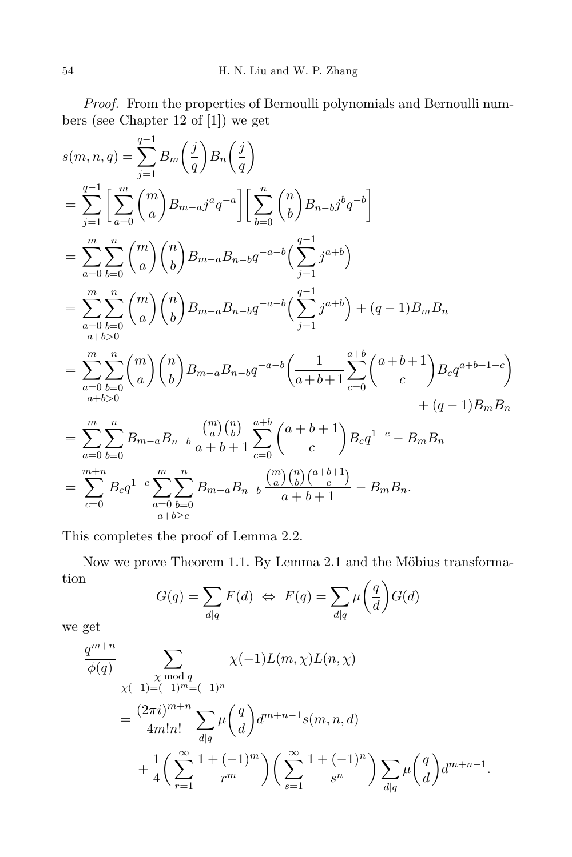Proof. From the properties of Bernoulli polynomials and Bernoulli numbers (see Chapter 12 of [1]) we get

$$
s(m, n, q) = \sum_{j=1}^{q-1} B_m \left(\frac{j}{q}\right) B_n \left(\frac{j}{q}\right)
$$
  
\n
$$
= \sum_{j=1}^{q-1} \left[ \sum_{a=0}^{m} {m \choose a} B_{m-a} j^a q^{-a} \right] \left[ \sum_{b=0}^{n} {n \choose b} B_{n-b} j^b q^{-b} \right]
$$
  
\n
$$
= \sum_{a=0}^{m} \sum_{b=0}^{n} {m \choose a} {n \choose b} B_{m-a} B_{n-b} q^{-a-b} \left( \sum_{j=1}^{q-1} j^{a+b} \right)
$$
  
\n
$$
= \sum_{a=0}^{m} \sum_{b=0}^{n} {m \choose a} {n \choose b} B_{m-a} B_{n-b} q^{-a-b} \left( \sum_{j=1}^{q-1} j^{a+b} \right) + (q-1) B_m B_n
$$
  
\n
$$
= \sum_{a=0}^{m} \sum_{b=0}^{n} {m \choose a} {n \choose b} B_{m-a} B_{n-b} q^{-a-b} \left( \frac{1}{a+b+1} \sum_{c=0}^{a+b} {a+b+1 \choose c} B_c q^{a+b+1-c} \right)
$$
  
\n
$$
+ (q-1) B_m B_n
$$
  
\n
$$
= \sum_{a=0}^{m} \sum_{b=0}^{n} B_{m-a} B_{n-b} \frac{m \choose a} {n \choose b} \sum_{c=0}^{a+b} {a+b+1 \choose c} B_c q^{1-c} - B_m B_n
$$
  
\n
$$
= \sum_{c=0}^{m+n} B_c q^{1-c} \sum_{a=0}^{m} \sum_{b=0}^{n} B_{m-a} B_{n-b} \frac{m \choose a} {n \choose b} {a+b+1 \choose c} - B_m B_n.
$$

This completes the proof of Lemma 2.2.

Now we prove Theorem 1.1. By Lemma 2.1 and the Möbius transformation  $\sim$ 

$$
G(q) = \sum_{d|q} F(d) \iff F(q) = \sum_{d|q} \mu\left(\frac{q}{d}\right) G(d)
$$

we get

$$
\frac{q^{m+n}}{\phi(q)} \sum_{\substack{\chi \bmod q \\ \chi(-1) = (-1)^m = (-1)^n \\ \dim[n]}} \overline{\chi}(-1) L(m, \chi) L(n, \overline{\chi}) \n= \frac{(2\pi i)^{m+n}}{4m!n!} \sum_{d|q} \mu\left(\frac{q}{d}\right) d^{m+n-1} s(m, n, d) \n+ \frac{1}{4} \left( \sum_{r=1}^{\infty} \frac{1 + (-1)^m}{r^m} \right) \left( \sum_{s=1}^{\infty} \frac{1 + (-1)^n}{s^n} \right) \sum_{d|q} \mu\left(\frac{q}{d}\right) d^{m+n-1}.
$$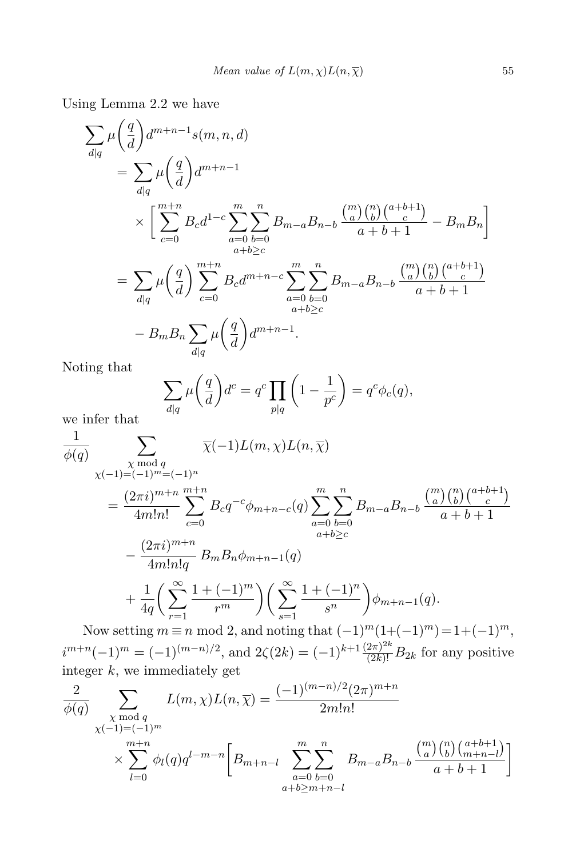Using Lemma 2.2 we have

$$
\sum_{d|q} \mu\left(\frac{q}{d}\right) d^{m+n-1} s(m, n, d)
$$
\n
$$
= \sum_{d|q} \mu\left(\frac{q}{d}\right) d^{m+n-1}
$$
\n
$$
\times \left[ \sum_{c=0}^{m+n} B_c d^{1-c} \sum_{a=0}^{m} \sum_{b=0}^{n} B_{m-a} B_{n-b} \frac{\binom{m}{a} \binom{n}{b} \binom{a+b+1}{c}}{a+b+1} - B_m B_n \right]
$$
\n
$$
= \sum_{d|q} \mu\left(\frac{q}{d}\right) \sum_{c=0}^{m+n} B_c d^{m+n-c} \sum_{a=0}^{m} \sum_{b=0}^{n} B_{m-a} B_{n-b} \frac{\binom{m}{a} \binom{n}{b} \binom{a+b+1}{c}}{a+b+1}
$$
\n
$$
-B_m B_n \sum_{d|q} \mu\left(\frac{q}{d}\right) d^{m+n-1}.
$$

Noting that

$$
\sum_{d|q} \mu\left(\frac{q}{d}\right) d^c = q^c \prod_{p|q} \left(1 - \frac{1}{p^c}\right) = q^c \phi_c(q),
$$

we infer that

$$
\frac{1}{\phi(q)} \sum_{\substack{\chi \bmod q \\ \chi(-1) = (-1)^m = (-1)^n}} \overline{\chi}(-1) L(m, \chi) L(n, \overline{\chi})
$$
\n
$$
= \frac{(2\pi i)^{m+n}}{4m!n!} \sum_{c=0}^{m+n} B_c q^{-c} \phi_{m+n-c}(q) \sum_{a=0}^m \sum_{b=0}^n B_{m-a} B_{n-b} \frac{\binom{m}{a} \binom{n}{b} \binom{a+b+1}{c}}{a+b+1}
$$
\n
$$
- \frac{(2\pi i)^{m+n}}{4m!n!q} B_m B_n \phi_{m+n-1}(q)
$$
\n
$$
+ \frac{1}{4q} \left( \sum_{r=1}^{\infty} \frac{1+(-1)^m}{r^m} \right) \left( \sum_{s=1}^{\infty} \frac{1+(-1)^n}{s^n} \right) \phi_{m+n-1}(q).
$$

Now setting  $m \equiv n \mod 2$ , and noting that  $(-1)^m(1+(-1)^m)=1+(-1)^m$ ,  $i^{m+n}(-1)^m = (-1)^{(m-n)/2}$ , and  $2\zeta(2k) = (-1)^{k+1}\frac{(2\pi)^{2k}}{(2k)!}B_{2k}$  for any positive integer  $k$ , we immediately get

$$
\frac{2}{\phi(q)} \sum_{\substack{\chi \bmod q \\ \chi(-1) = (-1)^m \\ \chi(-2) = 0}} L(m, \chi) L(n, \overline{\chi}) = \frac{(-1)^{(m-n)/2} (2\pi)^{m+n}}{2m!n!} \times \sum_{l=0}^{\infty} \phi_l(q) q^{l-m-n} \left[ B_{m+n-l} \sum_{\substack{a=0 \ b=0 \\ a+b \ge m+n-l}}^{m} B_{m-a} B_{n-b} \frac{\binom{m}{a} \binom{n}{b} \binom{a+b+1}{m+n-l}}{a+b+1} \right]
$$